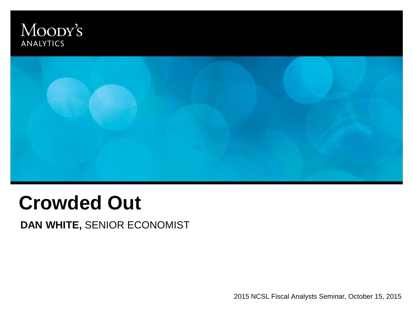### Moody's **ANALYTICS**



# **Crowded Out**

**DAN WHITE,** SENIOR ECONOMIST

2015 NCSL Fiscal Analysts Seminar, October 15, 2015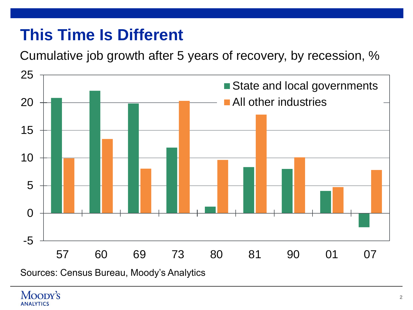# **This Time Is Different**

Cumulative job growth after 5 years of recovery, by recession, %



Sources: Census Bureau, Moody's Analytics

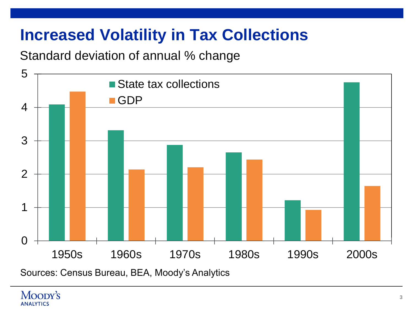# **Increased Volatility in Tax Collections**

### Standard deviation of annual % change



Sources: Census Bureau, BEA, Moody's Analytics

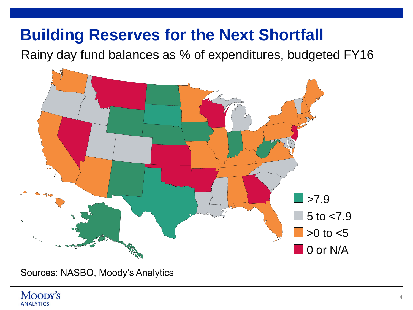## **Building Reserves for the Next Shortfall**

Rainy day fund balances as % of expenditures, budgeted FY16



Sources: NASBO, Moody's Analytics

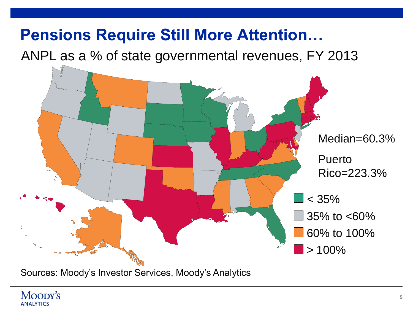## **Pensions Require Still More Attention…**

ANPL as a % of state governmental revenues, FY 2013



Sources: Moody's Investor Services, Moody's Analytics

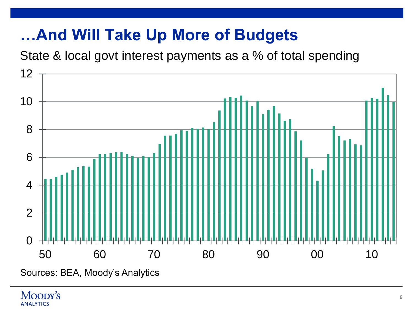# **…And Will Take Up More of Budgets**

State & local govt interest payments as a % of total spending



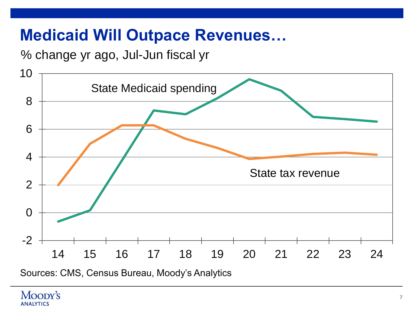## **Medicaid Will Outpace Revenues…**

% change yr ago, Jul-Jun fiscal yr



Sources: CMS, Census Bureau, Moody's Analytics

#### Moopy's **ANALYTICS**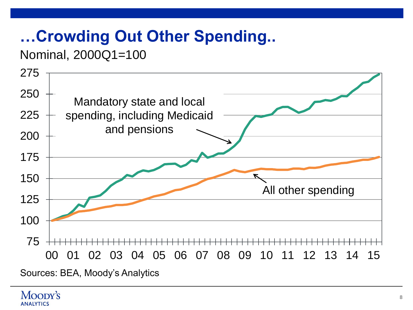# **…Crowding Out Other Spending..**

### Nominal, 2000Q1=100

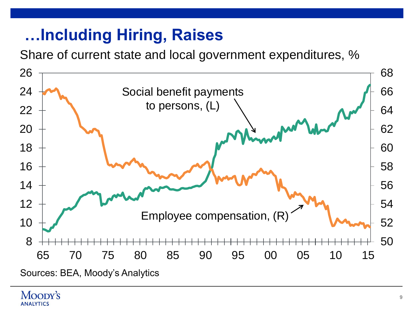# **…Including Hiring, Raises**

Share of current state and local government expenditures, %



#### Moopy's **ANALYTICS**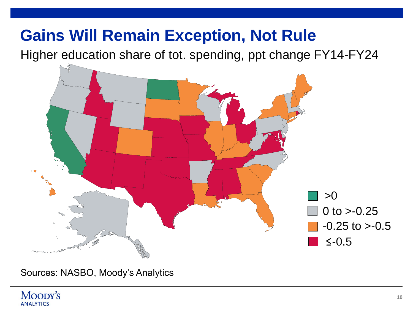## **Gains Will Remain Exception, Not Rule**

Higher education share of tot. spending, ppt change FY14-FY24



Sources: NASBO, Moody's Analytics

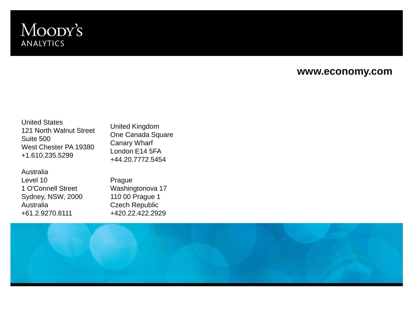### Moody's **ANALYTICS**

#### **www.economy.com**

United States 121 North Walnut Street Suite 500 West Chester PA 19380 +1.610.235.5299

United Kingdom One Canada Square Canary Wharf London E14 5FA +44.20.7772.5454

Australia Level 10 1 O'Connell Street Sydney, NSW, 2000 Australia +61.2.9270.8111

Prague Washingtonova 17 110 00 Prague 1 Czech Republic +420.22.422.2929